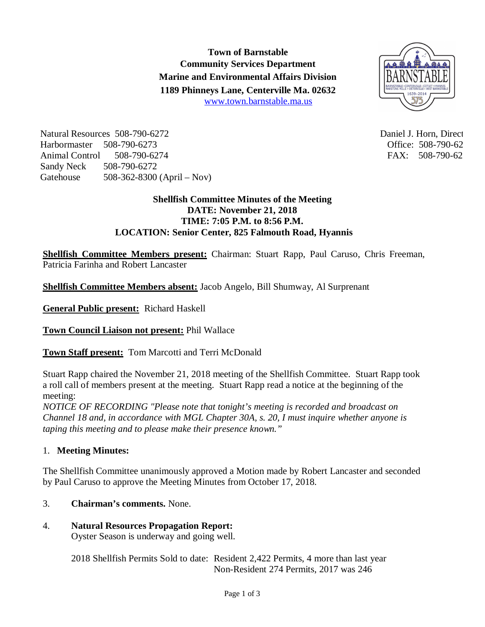**Town of Barnstable Community Services Department Marine and Environmental Affairs Division 1189 Phinneys Lane, Centerville Ma. 02632** www.town.barnstable.ma.us



Natural Resources 508-790-6272 and the state of the Daniel J. Horn, Director and Daniel J. Horn, Director and Daniel J. Horn, Director and Daniel J. Horn, Director and Daniel J. Horn, Director and Daniel J. Horn, Director Harbormaster 508-790-6273 Office: 508-790-6273 Animal Control 508-790-6274 FAX: 508-790-62 Sandy Neck 508-790-6272 Gatehouse 508-362-8300 (April – Nov)

## **Shellfish Committee Minutes of the Meeting DATE: November 21, 2018 TIME: 7:05 P.M. to 8:56 P.M. LOCATION: Senior Center, 825 Falmouth Road, Hyannis**

**Shellfish Committee Members present:** Chairman: Stuart Rapp, Paul Caruso, Chris Freeman, Patricia Farinha and Robert Lancaster

**Shellfish Committee Members absent:** Jacob Angelo, Bill Shumway, Al Surprenant

**General Public present:** Richard Haskell

**Town Council Liaison not present:** Phil Wallace

**Town Staff present:** Tom Marcotti and Terri McDonald

Stuart Rapp chaired the November 21, 2018 meeting of the Shellfish Committee. Stuart Rapp took a roll call of members present at the meeting. Stuart Rapp read a notice at the beginning of the meeting:

*NOTICE OF RECORDING "Please note that tonight's meeting is recorded and broadcast on Channel 18 and, in accordance with MGL Chapter 30A, s. 20, I must inquire whether anyone is taping this meeting and to please make their presence known."*

# 1. **Meeting Minutes:**

The Shellfish Committee unanimously approved a Motion made by Robert Lancaster and seconded by Paul Caruso to approve the Meeting Minutes from October 17, 2018.

# 3. **Chairman's comments.** None.

# 4. **Natural Resources Propagation Report:**

Oyster Season is underway and going well.

2018 Shellfish Permits Sold to date: Resident 2,422 Permits, 4 more than last year Non-Resident 274 Permits, 2017 was 246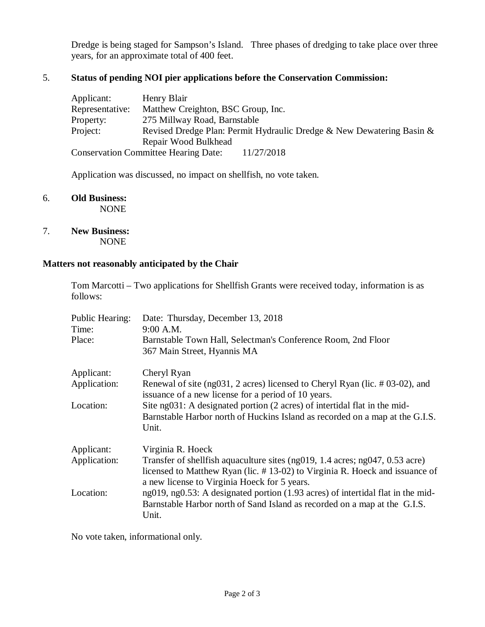Dredge is being staged for Sampson's Island. Three phases of dredging to take place over three years, for an approximate total of 400 feet.

## 5. **Status of pending NOI pier applications before the Conservation Commission:**

| Applicant:      | Henry Blair                                                           |
|-----------------|-----------------------------------------------------------------------|
| Representative: | Matthew Creighton, BSC Group, Inc.                                    |
| Property:       | 275 Millway Road, Barnstable                                          |
| Project:        | Revised Dredge Plan: Permit Hydraulic Dredge & New Dewatering Basin & |
|                 | Repair Wood Bulkhead                                                  |
|                 | <b>Conservation Committee Hearing Date:</b><br>11/27/2018             |

Application was discussed, no impact on shellfish, no vote taken.

- 6. **Old Business:** NONE
- 7. **New Business:** NONE

#### **Matters not reasonably anticipated by the Chair**

Tom Marcotti – Two applications for Shellfish Grants were received today, information is as follows:

| <b>Public Hearing:</b><br>Time: | Date: Thursday, December 13, 2018<br>9:00 A.M.                                                                                                                                                                      |
|---------------------------------|---------------------------------------------------------------------------------------------------------------------------------------------------------------------------------------------------------------------|
| Place:                          | Barnstable Town Hall, Selectman's Conference Room, 2nd Floor<br>367 Main Street, Hyannis MA                                                                                                                         |
| Applicant:                      | Cheryl Ryan                                                                                                                                                                                                         |
| Application:                    | Renewal of site (ng031, 2 acres) licensed to Cheryl Ryan (lic. #03-02), and<br>issuance of a new license for a period of 10 years.                                                                                  |
| Location:                       | Site ng031: A designated portion (2 acres) of intertidal flat in the mid-<br>Barnstable Harbor north of Huckins Island as recorded on a map at the G.I.S.<br>Unit.                                                  |
| Applicant:                      | Virginia R. Hoeck                                                                                                                                                                                                   |
| Application:                    | Transfer of shell fish aquaculture sites ( $ng019$ , 1.4 acres; $ng047$ , 0.53 acre)<br>licensed to Matthew Ryan (lic. #13-02) to Virginia R. Hoeck and issuance of<br>a new license to Virginia Hoeck for 5 years. |
| Location:                       | ng019, ng0.53: A designated portion (1.93 acres) of intertidal flat in the mid-<br>Barnstable Harbor north of Sand Island as recorded on a map at the G.I.S.<br>Unit.                                               |

No vote taken, informational only.